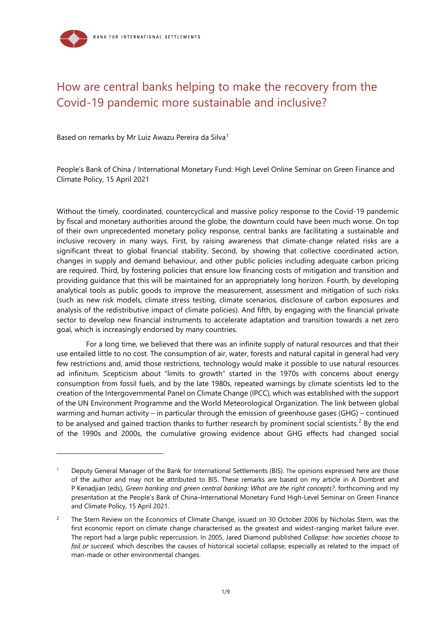# How are central banks helping to make the recovery from the Covid-19 pandemic more sustainable and inclusive?

Based on remarks by Mr Luiz Awazu Pereira da Silva<sup>[1](#page-0-0)</sup>

1

People's Bank of China / International Monetary Fund: High Level Online Seminar on Green Finance and Climate Policy, 15 April 2021

Without the timely, coordinated, countercyclical and massive policy response to the Covid-19 pandemic by fiscal and monetary authorities around the globe, the downturn could have been much worse. On top of their own unprecedented monetary policy response, central banks are facilitating a sustainable and inclusive recovery in many ways. First, by raising awareness that climate-change related risks are a significant threat to global financial stability. Second, by showing that collective coordinated action, changes in supply and demand behaviour, and other public policies including adequate carbon pricing are required. Third, by fostering policies that ensure low financing costs of mitigation and transition and providing guidance that this will be maintained for an appropriately long horizon. Fourth, by developing analytical tools as public goods to improve the measurement, assessment and mitigation of such risks (such as new risk models, climate stress testing, climate scenarios, disclosure of carbon exposures and analysis of the redistributive impact of climate policies). And fifth, by engaging with the financial private sector to develop new financial instruments to accelerate adaptation and transition towards a net zero goal, which is increasingly endorsed by many countries.

For a long time, we believed that there was an infinite supply of natural resources and that their use entailed little to no cost. The consumption of air, water, forests and natural capital in general had very few restrictions and, amid those restrictions, technology would make it possible to use natural resources ad infinitum. Scepticism about "limits to growth" started in the 1970s with concerns about energy consumption from fossil fuels, and by the late 1980s, repeated warnings by climate scientists led to the creation of the Intergovernmental Panel on Climate Change (IPCC), which was established with the support of the UN Environment Programme and the World Meteorological Organization. The link between global warming and human activity – in particular through the emission of greenhouse gases (GHG) – continued to be analysed and gained traction thanks to further research by prominent social scientists.<sup>[2](#page-0-1)</sup> By the end of the 1990s and 2000s, the cumulative growing evidence about GHG effects had changed social

<span id="page-0-0"></span>Deputy General Manager of the Bank for International Settlements (BIS). The opinions expressed here are those of the author and may not be attributed to BIS. These remarks are based on my article in A Dombret and P Kenadjian (eds), *Green banking and green central banking: What are the right concepts?*, forthcoming and my presentation at the People's Bank of China–International Monetary Fund High-Level Seminar on Green Finance and Climate Policy, 15 April 2021.

<span id="page-0-1"></span><sup>&</sup>lt;sup>2</sup> The Stern Review on the Economics of Climate Change, issued on 30 October 2006 by Nicholas Stern, was the first economic report on climate change characterised as the greatest and widest-ranging market failure ever. The report had a large public repercussion. In 2005, Jared Diamond published *Collapse: how societies choose to fail or succeed*, which describes the causes of historical societal collapse, especially as related to the impact of man-made or other environmental changes.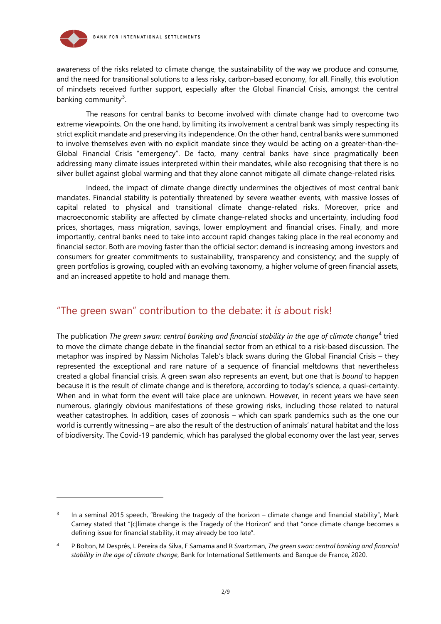

awareness of the risks related to climate change, the sustainability of the way we produce and consume, and the need for transitional solutions to a less risky, carbon-based economy, for all. Finally, this evolution of mindsets received further support, especially after the Global Financial Crisis, amongst the central banking community<sup>[3](#page-1-0)</sup>.

The reasons for central banks to become involved with climate change had to overcome two extreme viewpoints. On the one hand, by limiting its involvement a central bank was simply respecting its strict explicit mandate and preserving its independence. On the other hand, central banks were summoned to involve themselves even with no explicit mandate since they would be acting on a greater-than-the-Global Financial Crisis "emergency". De facto, many central banks have since pragmatically been addressing many climate issues interpreted within their mandates, while also recognising that there is no silver bullet against global warming and that they alone cannot mitigate all climate change-related risks.

Indeed, the impact of climate change directly undermines the objectives of most central bank mandates. Financial stability is potentially threatened by severe weather events, with massive losses of capital related to physical and transitional climate change-related risks. Moreover, price and macroeconomic stability are affected by climate change-related shocks and uncertainty, including food prices, shortages, mass migration, savings, lower employment and financial crises. Finally, and more importantly, central banks need to take into account rapid changes taking place in the real economy and financial sector. Both are moving faster than the official sector: demand is increasing among investors and consumers for greater commitments to sustainability, transparency and consistency; and the supply of green portfolios is growing, coupled with an evolving taxonomy, a higher volume of green financial assets, and an increased appetite to hold and manage them.

## "The green swan" contribution to the debate: it *is* about risk!

The publication *The green swan: central banking and financial stability in the age of climate change*<sup>[4](#page-1-1)</sup> tried to move the climate change debate in the financial sector from an ethical to a risk-based discussion. The metaphor was inspired by Nassim Nicholas Taleb's black swans during the Global Financial Crisis – they represented the exceptional and rare nature of a sequence of financial meltdowns that nevertheless created a global financial crisis. A green swan also represents an event, but one that is *bound* to happen because it is the result of climate change and is therefore, according to today's science, a quasi-certainty. When and in what form the event will take place are unknown. However, in recent years we have seen numerous, glaringly obvious manifestations of these growing risks, including those related to natural weather catastrophes. In addition, cases of zoonosis – which can spark pandemics such as the one our world is currently witnessing – are also the result of the destruction of animals' natural habitat and the loss of biodiversity. The Covid-19 pandemic, which has paralysed the global economy over the last year, serves

<span id="page-1-0"></span> $3$  In a seminal 2015 speech, "Breaking the tragedy of the horizon – climate change and financial stability", Mark Carney stated that "[c]limate change is the Tragedy of the Horizon" and that "once climate change becomes a defining issue for financial stability, it may already be too late".

<span id="page-1-1"></span><sup>4</sup> P Bolton, M Després, L Pereira da Silva, F Samama and R Svartzman, *The green swan: central banking and financial stability in the age of climate change*, Bank for International Settlements and Banque de France, 2020.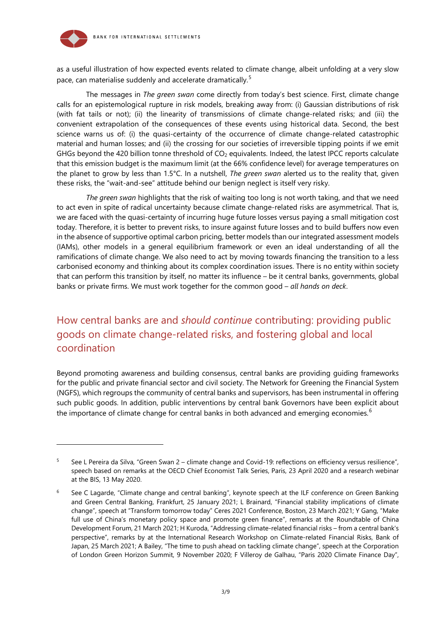

1

as a useful illustration of how expected events related to climate change, albeit unfolding at a very slow pace, can materialise suddenly and accelerate dramatically.<sup>[5](#page-2-0)</sup>

The messages in *The green swan* come directly from today's best science. First, climate change calls for an epistemological rupture in risk models, breaking away from: (i) Gaussian distributions of risk (with fat tails or not); (ii) the linearity of transmissions of climate change-related risks; and (iii) the convenient extrapolation of the consequences of these events using historical data. Second, the best science warns us of: (i) the quasi-certainty of the occurrence of climate change-related catastrophic material and human losses; and (ii) the crossing for our societies of irreversible tipping points if we emit GHGs beyond the 420 billion tonne threshold of  $CO<sub>2</sub>$  equivalents. Indeed, the latest IPCC reports calculate that this emission budget is the maximum limit (at the 66% confidence level) for average temperatures on the planet to grow by less than 1.5°C. In a nutshell, *The green swan* alerted us to the reality that, given these risks, the "wait-and-see" attitude behind our benign neglect is itself very risky.

*The green swan* highlights that the risk of waiting too long is not worth taking, and that we need to act even in spite of radical uncertainty because climate change-related risks are asymmetrical. That is, we are faced with the quasi-certainty of incurring huge future losses versus paying a small mitigation cost today. Therefore, it is better to prevent risks, to insure against future losses and to build buffers now even in the absence of supportive optimal carbon pricing, better models than our integrated assessment models (IAMs), other models in a general equilibrium framework or even an ideal understanding of all the ramifications of climate change. We also need to act by moving towards financing the transition to a less carbonised economy and thinking about its complex coordination issues. There is no entity within society that can perform this transition by itself, no matter its influence – be it central banks, governments, global banks or private firms. We must work together for the common good – *all hands on deck*.

## How central banks are and *should continue* contributing: providing public goods on climate change-related risks, and fostering global and local coordination

Beyond promoting awareness and building consensus, central banks are providing guiding frameworks for the public and private financial sector and civil society. The Network for Greening the Financial System (NGFS), which regroups the community of central banks and supervisors, has been instrumental in offering such public goods. In addition, public interventions by central bank Governors have been explicit about the importance of climate change for central banks in both advanced and emerging economies.<sup>[6](#page-2-1)</sup>

<span id="page-2-0"></span><sup>5</sup> See L Pereira da Silva, "Green Swan 2 – climate change and Covid-19: reflections on efficiency versus resilience", speech based on remarks at the OECD Chief Economist Talk Series, Paris, 23 April 2020 and a research webinar at the BIS, 13 May 2020.

<span id="page-2-1"></span><sup>6</sup> See C Lagarde, "Climate change and central banking", keynote speech at the ILF conference on Green Banking and Green Central Banking, Frankfurt, 25 January 2021; L Brainard, "Financial stability implications of climate change", speech at "Transform tomorrow today" Ceres 2021 Conference, Boston, 23 March 2021; Y Gang, "Make full use of China's monetary policy space and promote green finance", remarks at the Roundtable of China Development Forum, 21 March 2021; H Kuroda, "Addressing climate-related financial risks – from a central bank's perspective", remarks by at the International Research Workshop on Climate-related Financial Risks, Bank of Japan, 25 March 2021; A Bailey, "The time to push ahead on tackling climate change", speech at the Corporation of London Green Horizon Summit, 9 November 2020; F Villeroy de Galhau, "Paris 2020 Climate Finance Day",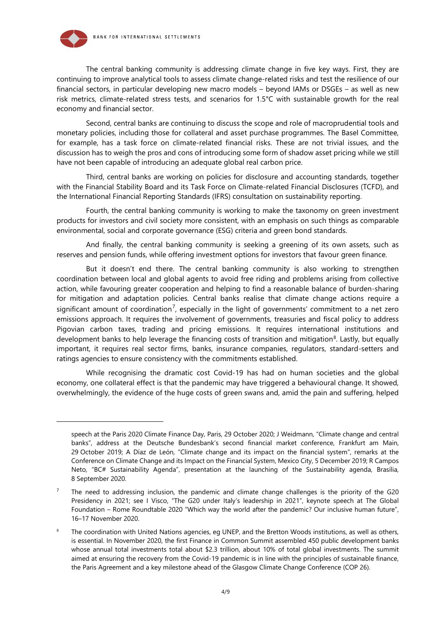

The central banking community is addressing climate change in five key ways. First, they are continuing to improve analytical tools to assess climate change-related risks and test the resilience of our financial sectors, in particular developing new macro models – beyond IAMs or DSGEs – as well as new risk metrics, climate-related stress tests, and scenarios for 1.5°C with sustainable growth for the real economy and financial sector.

Second, central banks are continuing to discuss the scope and role of macroprudential tools and monetary policies, including those for collateral and asset purchase programmes. The Basel Committee, for example, has a task force on climate-related financial risks. These are not trivial issues, and the discussion has to weigh the pros and cons of introducing some form of shadow asset pricing while we still have not been capable of introducing an adequate global real carbon price.

Third, central banks are working on policies for disclosure and accounting standards, together with the Financial Stability Board and its Task Force on Climate-related Financial Disclosures (TCFD), and the International Financial Reporting Standards (IFRS) consultation on sustainability reporting.

Fourth, the central banking community is working to make the taxonomy on green investment products for investors and civil society more consistent, with an emphasis on such things as comparable environmental, social and corporate governance (ESG) criteria and green bond standards.

And finally, the central banking community is seeking a greening of its own assets, such as reserves and pension funds, while offering investment options for investors that favour green finance.

But it doesn't end there. The central banking community is also working to strengthen coordination between local and global agents to avoid free riding and problems arising from collective action, while favouring greater cooperation and helping to find a reasonable balance of burden-sharing for mitigation and adaptation policies. Central banks realise that climate change actions require a significant amount of coordination<sup>[7](#page-3-0)</sup>, especially in the light of governments' commitment to a net zero emissions approach. It requires the involvement of governments, treasuries and fiscal policy to address Pigovian carbon taxes, trading and pricing emissions. It requires international institutions and development banks to help leverage the financing costs of transition and mitigation<sup>8</sup>. Lastly, but equally important, it requires real sector firms, banks, insurance companies, regulators, standard-setters and ratings agencies to ensure consistency with the commitments established.

While recognising the dramatic cost Covid-19 has had on human societies and the global economy, one collateral effect is that the pandemic may have triggered a behavioural change. It showed, overwhelmingly, the evidence of the huge costs of green swans and, amid the pain and suffering, helped

speech at the Paris 2020 Climate Finance Day, Paris, 29 October 2020; J Weidmann, "Climate change and central banks", address at the Deutsche Bundesbank's second financial market conference, Frankfurt am Main, 29 October 2019; A Díaz de León, "Climate change and its impact on the financial system", remarks at the Conference on Climate Change and its Impact on the Financial System, Mexico City, 5 December 2019; R Campos Neto, "BC# Sustainability Agenda", presentation at the launching of the Sustainability agenda, Brasília, 8 September 2020.

<span id="page-3-0"></span><sup>&</sup>lt;sup>7</sup> The need to addressing inclusion, the pandemic and climate change challenges is the priority of the G20 Presidency in 2021; see I Visco, "The G20 under Italy's leadership in 2021", keynote speech at The Global Foundation – Rome Roundtable 2020 "Which way the world after the pandemic? Our inclusive human future", 16–17 November 2020.

<span id="page-3-1"></span>The coordination with United Nations agencies, eg UNEP, and the Bretton Woods institutions, as well as others, is essential. In November 2020, the first Finance in Common Summit assembled 450 public development banks whose annual total investments total about \$2.3 trillion, about 10% of total global investments. The summit aimed at ensuring the recovery from the Covid-19 pandemic is in line with the principles of sustainable finance, the Paris Agreement and a key milestone ahead of the Glasgow Climate Change Conference (COP 26).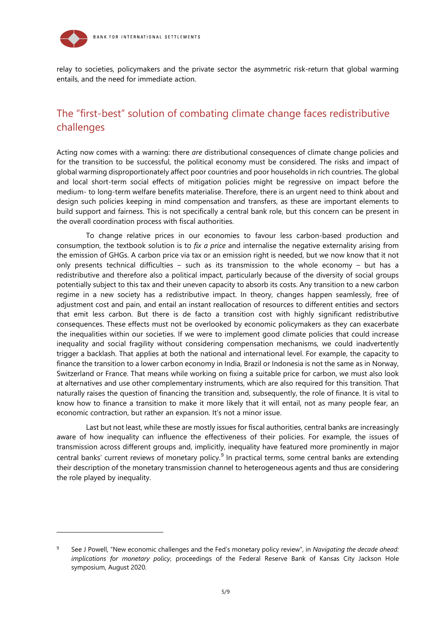

relay to societies, policymakers and the private sector the asymmetric risk-return that global warming entails, and the need for immediate action.

#### The "first-best" solution of combating climate change faces redistributive challenges

Acting now comes with a warning: there *are* distributional consequences of climate change policies and for the transition to be successful, the political economy must be considered. The risks and impact of global warming disproportionately affect poor countries and poor households in rich countries. The global and local short-term social effects of mitigation policies might be regressive on impact before the medium- to long-term welfare benefits materialise. Therefore, there is an urgent need to think about and design such policies keeping in mind compensation and transfers, as these are important elements to build support and fairness. This is not specifically a central bank role, but this concern can be present in the overall coordination process with fiscal authorities.

To change relative prices in our economies to favour less carbon-based production and consumption, the textbook solution is to *fix a price* and internalise the negative externality arising from the emission of GHGs. A carbon price via tax or an emission right is needed, but we now know that it not only presents technical difficulties – such as its transmission to the whole economy – but has a redistributive and therefore also a political impact, particularly because of the diversity of social groups potentially subject to this tax and their uneven capacity to absorb its costs. Any transition to a new carbon regime in a new society has a redistributive impact. In theory, changes happen seamlessly, free of adjustment cost and pain, and entail an instant reallocation of resources to different entities and sectors that emit less carbon. But there is de facto a transition cost with highly significant redistributive consequences. These effects must not be overlooked by economic policymakers as they can exacerbate the inequalities within our societies. If we were to implement good climate policies that could increase inequality and social fragility without considering compensation mechanisms, we could inadvertently trigger a backlash. That applies at both the national and international level. For example, the capacity to finance the transition to a lower carbon economy in India, Brazil or Indonesia is not the same as in Norway, Switzerland or France. That means while working on fixing a suitable price for carbon, we must also look at alternatives and use other complementary instruments, which are also required for this transition. That naturally raises the question of financing the transition and, subsequently, the role of finance. It is vital to know how to finance a transition to make it more likely that it will entail, not as many people fear, an economic contraction, but rather an expansion. It's not a minor issue.

Last but not least, while these are mostly issues for fiscal authorities, central banks are increasingly aware of how inequality can influence the effectiveness of their policies. For example, the issues of transmission across different groups and, implicitly, inequality have featured more prominently in major central banks' current reviews of monetary policy.<sup>[9](#page-4-0)</sup> In practical terms, some central banks are extending their description of the monetary transmission channel to heterogeneous agents and thus are considering the role played by inequality.

<span id="page-4-0"></span><sup>9</sup> See J Powell, "New economic challenges and the Fed's monetary policy review", in *Navigating the decade ahead: implications for monetary policy*, proceedings of the Federal Reserve Bank of Kansas City Jackson Hole symposium, August 2020.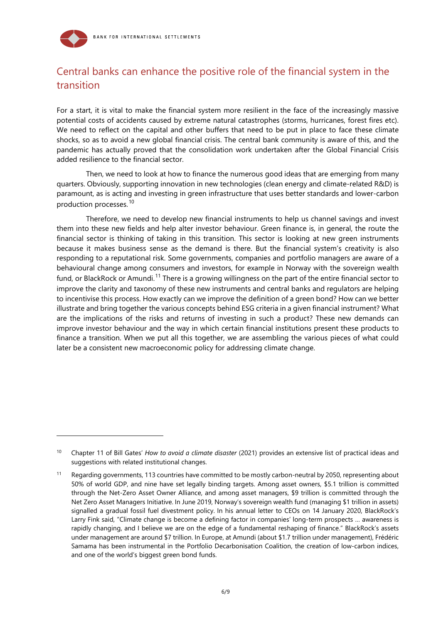

1

### Central banks can enhance the positive role of the financial system in the transition

For a start, it is vital to make the financial system more resilient in the face of the increasingly massive potential costs of accidents caused by extreme natural catastrophes (storms, hurricanes, forest fires etc). We need to reflect on the capital and other buffers that need to be put in place to face these climate shocks, so as to avoid a new global financial crisis. The central bank community is aware of this, and the pandemic has actually proved that the consolidation work undertaken after the Global Financial Crisis added resilience to the financial sector.

Then, we need to look at how to finance the numerous good ideas that are emerging from many quarters. Obviously, supporting innovation in new technologies (clean energy and climate-related R&D) is paramount, as is acting and investing in green infrastructure that uses better standards and lower-carbon production processes.[10](#page-5-0)

Therefore, we need to develop new financial instruments to help us channel savings and invest them into these new fields and help alter investor behaviour. Green finance is, in general, the route the financial sector is thinking of taking in this transition. This sector is looking at new green instruments because it makes business sense as the demand is there. But the financial system's creativity is also responding to a reputational risk. Some governments, companies and portfolio managers are aware of a behavioural change among consumers and investors, for example in Norway with the sovereign wealth fund, or BlackRock or Amundi.<sup>[11](#page-5-1)</sup> There is a growing willingness on the part of the entire financial sector to improve the clarity and taxonomy of these new instruments and central banks and regulators are helping to incentivise this process. How exactly can we improve the definition of a green bond? How can we better illustrate and bring together the various concepts behind ESG criteria in a given financial instrument? What are the implications of the risks and returns of investing in such a product? These new demands can improve investor behaviour and the way in which certain financial institutions present these products to finance a transition. When we put all this together, we are assembling the various pieces of what could later be a consistent new macroeconomic policy for addressing climate change.

<span id="page-5-0"></span><sup>10</sup> Chapter 11 of Bill Gates' *How to avoid a climate disaster* (2021) provides an extensive list of practical ideas and suggestions with related institutional changes.

<span id="page-5-1"></span><sup>&</sup>lt;sup>11</sup> Regarding governments, 113 countries have committed to be mostly carbon-neutral by 2050, representing about 50% of world GDP, and nine have set legally binding targets. Among asset owners, \$5.1 trillion is committed through the Net-Zero Asset Owner Alliance, and among asset managers, \$9 trillion is committed through the Net Zero Asset Managers Initiative. In June 2019, Norway's sovereign wealth fund (managing \$1 trillion in assets) signalled a gradual fossil fuel divestment policy. In his annual letter to CEOs on 14 January 2020, BlackRock's Larry Fink said, "Climate change is become a defining factor in companies' long-term prospects … awareness is rapidly changing, and I believe we are on the edge of a fundamental reshaping of finance." BlackRock's assets under management are around \$7 trillion. In Europe, at Amundi (about \$1.7 trillion under management), Frédéric Samama has been instrumental in the Portfolio Decarbonisation Coalition, the creation of low-carbon indices, and one of the world's biggest green bond funds.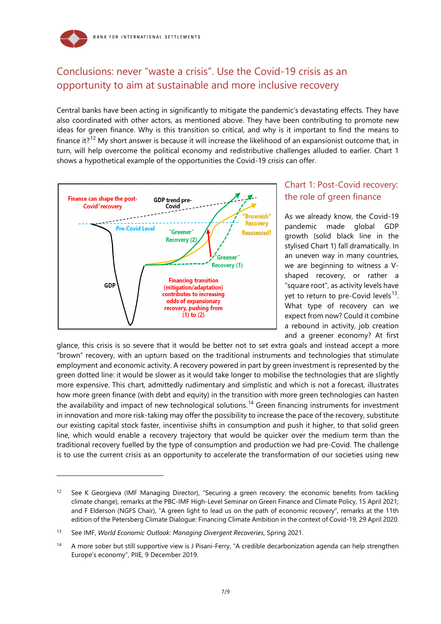

## Conclusions: never "waste a crisis". Use the Covid-19 crisis as an opportunity to aim at sustainable and more inclusive recovery

Central banks have been acting in significantly to mitigate the pandemic's devastating effects. They have also coordinated with other actors, as mentioned above. They have been contributing to promote new ideas for green finance. Why is this transition so critical, and why is it important to find the means to finance it?<sup>[12](#page-6-0)</sup> My short answer is because it will increase the likelihood of an expansionist outcome that, in turn, will help overcome the political economy and redistributive challenges alluded to earlier. Chart 1 shows a hypothetical example of the opportunities the Covid-19 crisis can offer.



#### Chart 1: Post-Covid recovery: the role of green finance

As we already know, the Covid-19 pandemic made global GDP growth (solid black line in the stylised Chart 1) fall dramatically. In an uneven way in many countries, we are beginning to witness a Vshaped recovery, or rather a "square root", as activity levels have yet to return to pre-Covid levels $^{13}$  $^{13}$  $^{13}$ . What type of recovery can we expect from now? Could it combine a rebound in activity, job creation and a greener economy? At first

glance, this crisis is so severe that it would be better not to set extra goals and instead accept a more "brown" recovery, with an upturn based on the traditional instruments and technologies that stimulate employment and economic activity. A recovery powered in part by green investment is represented by the green dotted line: it would be slower as it would take longer to mobilise the technologies that are slightly more expensive. This chart, admittedly rudimentary and simplistic and which is not a forecast, illustrates how more green finance (with debt and equity) in the transition with more green technologies can hasten the availability and impact of new technological solutions.<sup>[14](#page-6-2)</sup> Green financing instruments for investment in innovation and more risk-taking may offer the possibility to increase the pace of the recovery, substitute our existing capital stock faster, incentivise shifts in consumption and push it higher, to that solid green line, which would enable a recovery trajectory that would be quicker over the medium term than the traditional recovery fuelled by the type of consumption and production we had pre-Covid. The challenge is to use the current crisis as an opportunity to accelerate the transformation of our societies using new

-

<span id="page-6-0"></span><sup>&</sup>lt;sup>12</sup> See K Georgieva (IMF Managing Director), "Securing a green recovery: the economic benefits from tackling climate change), remarks at the PBC-IMF High-Level Seminar on Green Finance and Climate Policy, 15 April 2021; and F Elderson (NGFS Chair), "A green light to lead us on the path of economic recovery", remarks at the 11th edition of the Petersberg Climate Dialogue: Financing Climate Ambition in the context of Covid-19, 29 April 2020.

<span id="page-6-1"></span><sup>13</sup> See IMF, *World Economic Outlook: Managing Divergent Recoveries*, Spring 2021.

<span id="page-6-2"></span><sup>14</sup> A more sober but still supportive view is J Pisani-Ferry, "A credible decarbonization agenda can help strengthen Europe's economy", PIIE, 9 December 2019.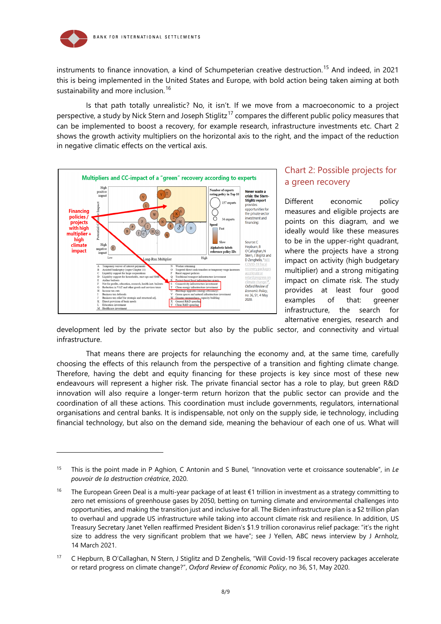

instruments to finance innovation, a kind of Schumpeterian creative destruction.<sup>[15](#page-7-0)</sup> And indeed, in 2021 this is being implemented in the United States and Europe, with bold action being taken aiming at both sustainability and more inclusion.<sup>[16](#page-7-1)</sup>

Is that path totally unrealistic? No, it isn't. If we move from a macroeconomic to a project perspective, a study by Nick Stern and Joseph Stiglitz<sup>[17](#page-7-2)</sup> compares the different public policy measures that can be implemented to boost a recovery, for example research, infrastructure investments etc. Chart 2 shows the growth activity multipliers on the horizontal axis to the right, and the impact of the reduction in negative climatic effects on the vertical axis.



-

#### Chart 2: Possible projects for a green recovery

Different economic policy measures and eligible projects are points on this diagram, and we ideally would like these measures to be in the upper-right quadrant, where the projects have a strong impact on activity (high budgetary multiplier) and a strong mitigating impact on climate risk. The study provides at least four good examples of that: greener infrastructure, the search for alternative energies, research and

development led by the private sector but also by the public sector, and connectivity and virtual infrastructure.

That means there are projects for relaunching the economy and, at the same time, carefully choosing the effects of this relaunch from the perspective of a transition and fighting climate change. Therefore, having the debt and equity financing for these projects is key since most of these new endeavours will represent a higher risk. The private financial sector has a role to play, but green R&D innovation will also require a longer-term return horizon that the public sector can provide and the coordination of all these actions. This coordination must include governments, regulators, international organisations and central banks. It is indispensable, not only on the supply side, ie technology, including financial technology, but also on the demand side, meaning the behaviour of each one of us. What will

<span id="page-7-0"></span><sup>15</sup> This is the point made in P Aghion, C Antonin and S Bunel, "Innovation verte et croissance soutenable", in *Le pouvoir de la destruction créatrice*, 2020.

<span id="page-7-1"></span><sup>&</sup>lt;sup>16</sup> The European Green Deal is a multi-year package of at least €1 trillion in investment as a strategy committing to zero net emissions of greenhouse gases by 2050, betting on turning climate and environmental challenges into opportunities, and making the transition just and inclusive for all. The Biden infrastructure plan is a \$2 trillion plan to overhaul and upgrade US infrastructure while taking into account climate risk and resilience. In addition, US Treasury Secretary Janet Yellen reaffirmed President Biden's \$1.9 trillion coronavirus relief package: "it's the right size to address the very significant problem that we have"; see J Yellen, ABC news interview by J Arnholz, 14 March 2021.

<span id="page-7-2"></span><sup>&</sup>lt;sup>17</sup> C Hepburn, B O'Callaghan, N Stern, J Stiglitz and D Zenghelis, "Will Covid-19 fiscal recovery packages accelerate or retard progress on climate change?", *Oxford Review of Economic Policy*, no 36, S1, May 2020.